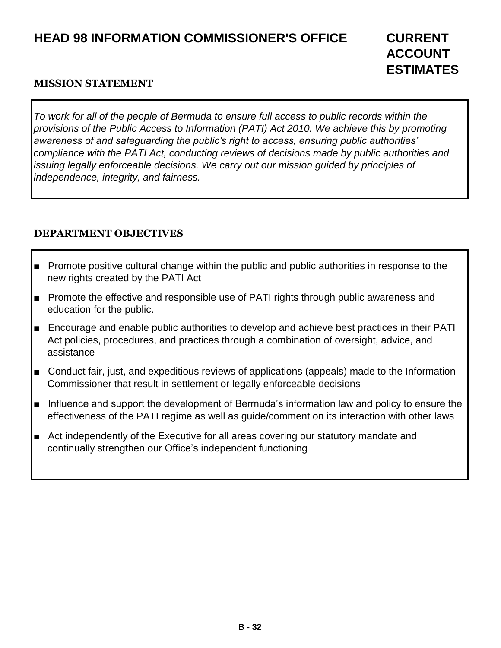# **HEAD 98 INFORMATION COMMISSIONER'S OFFICE CURRENT**

#### **MISSION STATEMENT**

*To work for all of the people of Bermuda to ensure full access to public records within the provisions of the Public Access to Information (PATI) Act 2010. We achieve this by promoting awareness of and safeguarding the public's right to access, ensuring public authorities' compliance with the PATI Act, conducting reviews of decisions made by public authorities and issuing legally enforceable decisions. We carry out our mission guided by principles of independence, integrity, and fairness.*

## **DEPARTMENT OBJECTIVES**

- Promote positive cultural change within the public and public authorities in response to the new rights created by the PATI Act
- Promote the effective and responsible use of PATI rights through public awareness and education for the public.
- Encourage and enable public authorities to develop and achieve best practices in their PATI Act policies, procedures, and practices through a combination of oversight, advice, and assistance
- Conduct fair, just, and expeditious reviews of applications (appeals) made to the Information Commissioner that result in settlement or legally enforceable decisions
- Influence and support the development of Bermuda's information law and policy to ensure the effectiveness of the PATI regime as well as guide/comment on its interaction with other laws
- Act independently of the Executive for all areas covering our statutory mandate and continually strengthen our Office's independent functioning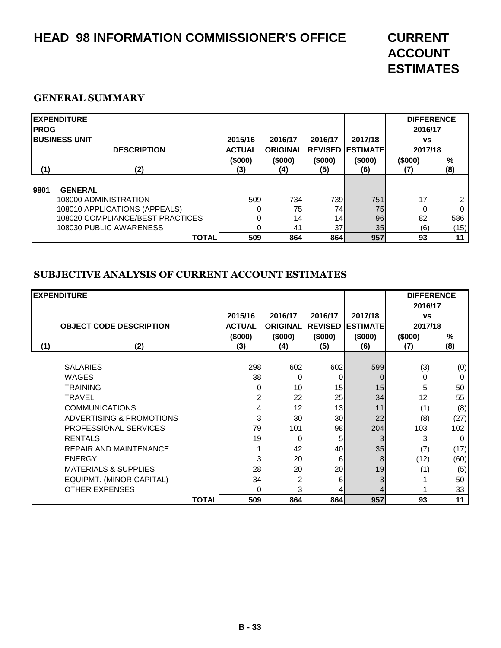# **HEAD 98 INFORMATION COMMISSIONER'S OFFICE CURRENT**

# **ACCOUNT ESTIMATES**

#### **GENERAL SUMMARY**

| <b>IPROG</b> | <b>EXPENDITURE</b>                          |                          |                            |                 |                                     | <b>DIFFERENCE</b><br>2016/17 |          |
|--------------|---------------------------------------------|--------------------------|----------------------------|-----------------|-------------------------------------|------------------------------|----------|
|              | <b>IBUSINESS UNIT</b><br><b>DESCRIPTION</b> | 2015/16<br><b>ACTUAL</b> | 2016/17<br><b>ORIGINAL</b> | 2016/17         | 2017/18<br><b>REVISED LESTIMATE</b> | <b>VS</b><br>2017/18         |          |
| (1)          | (2)                                         | (\$000)<br>(3)           | (\$000)<br>(4)             | (\$000)<br>(5)  | (\$000)<br>(6)                      | (\$000)                      | %<br>(8) |
| 19801        | <b>GENERAL</b>                              |                          |                            |                 |                                     |                              |          |
|              | 108000 ADMINISTRATION                       | 509                      | 734                        | 739             | 751                                 | 17                           | 2        |
|              | 108010 APPLICATIONS (APPEALS)               | 0                        | 75                         | 74              | 75                                  | 0                            | $\Omega$ |
|              | 108020 COMPLIANCE/BEST PRACTICES            |                          | 14                         | 14              | 96                                  | 82                           | 586      |
|              | 108030 PUBLIC AWARENESS                     |                          | 41                         | 37 <sup>1</sup> | 35 <sub>1</sub>                     | (6)                          | (15)     |
|              | <b>TOTAL</b>                                | 509                      | 864                        | 864             | 957                                 | 93                           | 11       |

### **SUBJECTIVE ANALYSIS OF CURRENT ACCOUNT ESTIMATES**

|     | <b>EXPENDITURE</b>              |              |               |                 |                |                 | <b>DIFFERENCE</b> |               |
|-----|---------------------------------|--------------|---------------|-----------------|----------------|-----------------|-------------------|---------------|
|     |                                 |              |               |                 |                |                 | 2016/17           |               |
|     |                                 |              | 2015/16       | 2016/17         | 2016/17        | 2017/18         | <b>VS</b>         |               |
|     | <b>OBJECT CODE DESCRIPTION</b>  |              | <b>ACTUAL</b> | <b>ORIGINAL</b> | <b>REVISED</b> | <b>ESTIMATE</b> | 2017/18           |               |
|     |                                 |              | (\$000)       | (\$000)         | (\$000)        | (\$000)         | (\$000)           | $\frac{0}{0}$ |
| (1) | (2)                             |              | (3)           | (4)             | (5)            | (6)             | (7)               | (8)           |
|     |                                 |              |               |                 |                |                 |                   |               |
|     | <b>SALARIES</b>                 |              | 298           | 602             | 602            | 599             | (3)               | (0)           |
|     | <b>WAGES</b>                    |              | 38            | 0               | 0              | $\Omega$        | 0                 | 0             |
|     | <b>TRAINING</b>                 |              | 0             | 10              | 15             | 15              | 5                 | 50            |
|     | <b>TRAVEL</b>                   |              | 2             | 22              | 25             | 34              | 12                | 55            |
|     | <b>COMMUNICATIONS</b>           |              | 4             | 12              | 13             | 11              | (1)               | (8)           |
|     | ADVERTISING & PROMOTIONS        |              | 3             | 30              | 30             | 22              | (8)               | (27)          |
|     | <b>PROFESSIONAL SERVICES</b>    |              | 79            | 101             | 98             | 204             | 103               | 102           |
|     | <b>RENTALS</b>                  |              | 19            | 0               | 5              | 3               | 3                 | 0             |
|     | <b>REPAIR AND MAINTENANCE</b>   |              |               | 42              | 40             | 35              | (7)               | (17)          |
|     | <b>ENERGY</b>                   |              | 3             | 20              | 6              | 8               | (12)              | (60)          |
|     | <b>MATERIALS &amp; SUPPLIES</b> |              | 28            | 20              | 20             | 19              | (1)               | (5)           |
|     | EQUIPMT. (MINOR CAPITAL)        |              | 34            | 2               | 6              |                 |                   | 50            |
|     | <b>OTHER EXPENSES</b>           |              | 0             | 3               |                |                 |                   | 33            |
|     |                                 | <b>TOTAL</b> | 509           | 864             | 864            | 957             | 93                | 11            |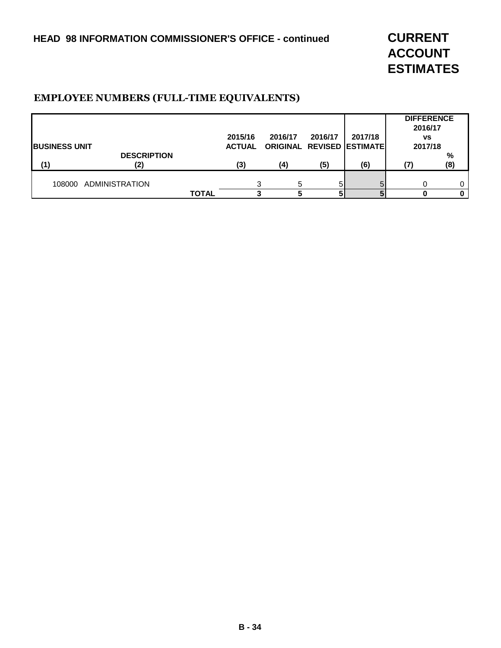**ACCOUNT ESTIMATES**

#### **EMPLOYEE NUMBERS (FULL-TIME EQUIVALENTS)**

|                       |                       |              |               |                           |         |         | <b>DIFFERENCE</b><br>2016/17 |     |
|-----------------------|-----------------------|--------------|---------------|---------------------------|---------|---------|------------------------------|-----|
|                       |                       |              | 2015/16       | 2016/17                   | 2016/17 | 2017/18 | <b>VS</b>                    |     |
| <b>IBUSINESS UNIT</b> |                       |              | <b>ACTUAL</b> | ORIGINAL REVISED ESTIMATE |         |         | 2017/18                      |     |
|                       | <b>DESCRIPTION</b>    |              |               |                           |         |         |                              | %   |
| (1)                   | (2)                   |              | (3)           | (4)                       | (5)     | (6)     |                              | (8) |
| 108000                | <b>ADMINISTRATION</b> |              |               | 5                         |         |         |                              |     |
|                       |                       | <b>TOTAL</b> |               |                           |         |         |                              |     |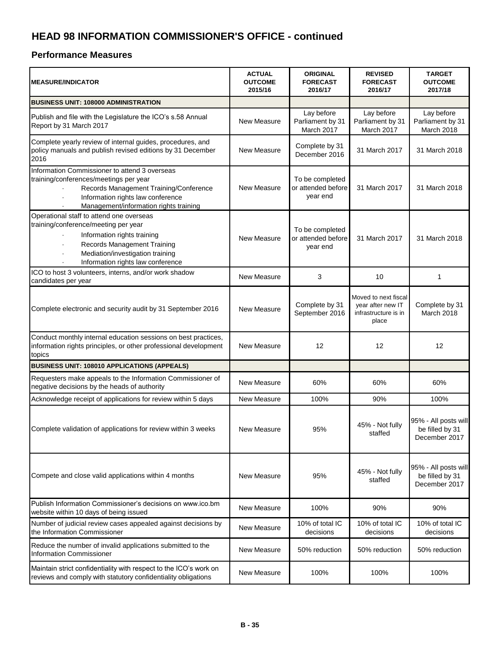| <b>MEASURE/INDICATOR</b>                                                                                                                                                                                                       | <b>ACTUAL</b><br><b>OUTCOME</b><br>2015/16 | <b>ORIGINAL</b><br><b>FORECAST</b><br>2016/17     | <b>REVISED</b><br><b>FORECAST</b><br>2016/17                               | <b>TARGET</b><br><b>OUTCOME</b><br>2017/18               |
|--------------------------------------------------------------------------------------------------------------------------------------------------------------------------------------------------------------------------------|--------------------------------------------|---------------------------------------------------|----------------------------------------------------------------------------|----------------------------------------------------------|
| BUSINESS UNIT: 108000 ADMINISTRATION                                                                                                                                                                                           |                                            |                                                   |                                                                            |                                                          |
| Publish and file with the Legislature the ICO's s.58 Annual<br>Report by 31 March 2017                                                                                                                                         | New Measure                                | Lay before<br>Parliament by 31<br>March 2017      | Lay before<br>Parliament by 31<br>March 2017                               | Lay before<br>Parliament by 31<br>March 2018             |
| Complete yearly review of internal guides, procedures, and<br>policy manuals and publish revised editions by 31 December<br>2016                                                                                               | <b>New Measure</b>                         | Complete by 31<br>December 2016                   | 31 March 2017                                                              | 31 March 2018                                            |
| Information Commissioner to attend 3 overseas<br>training/conferences/meetings per year<br>Records Management Training/Conference<br>Information rights law conference<br>ä,<br>Management/information rights training         | New Measure                                | To be completed<br>or attended before<br>year end | 31 March 2017                                                              | 31 March 2018                                            |
| Operational staff to attend one overseas<br>training/conference/meeting per year<br>Information rights training<br><b>Records Management Training</b><br>Mediation/investigation training<br>Information rights law conference | New Measure                                | To be completed<br>or attended before<br>year end | 31 March 2017                                                              | 31 March 2018                                            |
| ICO to host 3 volunteers, interns, and/or work shadow<br>candidates per year                                                                                                                                                   | <b>New Measure</b>                         | 3                                                 | 10                                                                         | 1                                                        |
| Complete electronic and security audit by 31 September 2016                                                                                                                                                                    | <b>New Measure</b>                         | Complete by 31<br>September 2016                  | Moved to next fiscal<br>year after new IT<br>infrastructure is in<br>place | Complete by 31<br>March 2018                             |
| Conduct monthly internal education sessions on best practices,<br>information rights principles, or other professional development<br>topics                                                                                   | New Measure                                | 12                                                | 12                                                                         | 12                                                       |
| BUSINESS UNIT: 108010 APPLICATIONS (APPEALS)                                                                                                                                                                                   |                                            |                                                   |                                                                            |                                                          |
| Requesters make appeals to the Information Commissioner of<br>negative decisions by the heads of authority                                                                                                                     | New Measure                                | 60%                                               | 60%                                                                        | 60%                                                      |
| Acknowledge receipt of applications for review within 5 days                                                                                                                                                                   | New Measure                                | 100%                                              | 90%                                                                        | 100%                                                     |
| Complete validation of applications for review within 3 weeks                                                                                                                                                                  | New Measure                                | 95%                                               | 45% - Not fully<br>staffed                                                 | 95% - All posts will<br>be filled by 31<br>December 2017 |
| Compete and close valid applications within 4 months                                                                                                                                                                           | <b>New Measure</b>                         | 95%                                               | 45% - Not fully<br>staffed                                                 | 95% - All posts will<br>be filled by 31<br>December 2017 |
| Publish Information Commissioner's decisions on www.ico.bm<br>website within 10 days of being issued                                                                                                                           | New Measure                                | 100%                                              | 90%                                                                        | 90%                                                      |
| Number of judicial review cases appealed against decisions by<br>the Information Commissioner                                                                                                                                  | New Measure                                | 10% of total IC<br>decisions                      | 10% of total IC<br>decisions                                               | 10% of total IC<br>decisions                             |
| Reduce the number of invalid applications submitted to the<br>Information Commissioner                                                                                                                                         | New Measure                                | 50% reduction                                     | 50% reduction                                                              | 50% reduction                                            |
| Maintain strict confidentiality with respect to the ICO's work on<br>reviews and comply with statutory confidentiality obligations                                                                                             | New Measure                                | 100%                                              | 100%                                                                       | 100%                                                     |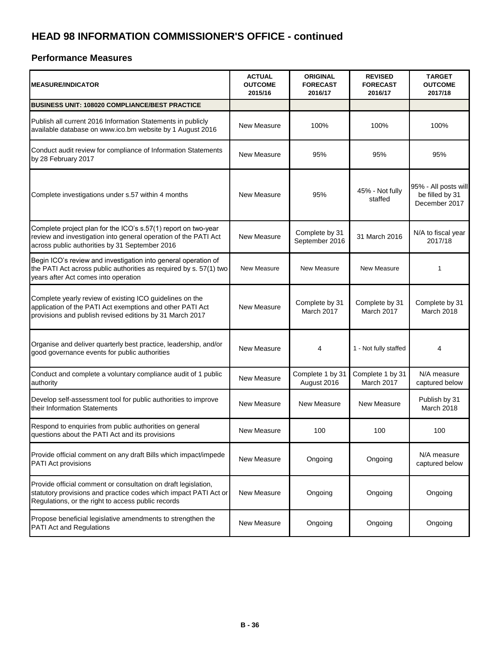| <b>MEASURE/INDICATOR</b>                                                                                                                                                                 | <b>ACTUAL</b><br><b>OUTCOME</b><br>2015/16 | <b>ORIGINAL</b><br><b>FORECAST</b><br>2016/17 | <b>REVISED</b><br><b>FORECAST</b><br>2016/17 | <b>TARGET</b><br><b>OUTCOME</b><br>2017/18               |
|------------------------------------------------------------------------------------------------------------------------------------------------------------------------------------------|--------------------------------------------|-----------------------------------------------|----------------------------------------------|----------------------------------------------------------|
| <b>BUSINESS UNIT: 108020 COMPLIANCE/BEST PRACTICE</b>                                                                                                                                    |                                            |                                               |                                              |                                                          |
| Publish all current 2016 Information Statements in publicly<br>available database on www.ico.bm website by 1 August 2016                                                                 | New Measure                                | 100%                                          | 100%                                         | 100%                                                     |
| Conduct audit review for compliance of Information Statements<br>by 28 February 2017                                                                                                     | New Measure                                | 95%                                           | 95%                                          | 95%                                                      |
| Complete investigations under s.57 within 4 months                                                                                                                                       | New Measure                                | 95%                                           | 45% - Not fully<br>staffed                   | 95% - All posts will<br>be filled by 31<br>December 2017 |
| Complete project plan for the ICO's s.57(1) report on two-year<br>review and investigation into general operation of the PATI Act<br>across public authorities by 31 September 2016      | New Measure                                | Complete by 31<br>September 2016              | 31 March 2016                                | N/A to fiscal year<br>2017/18                            |
| Begin ICO's review and investigation into general operation of<br>the PATI Act across public authorities as required by s. 57(1) two<br>years after Act comes into operation             | New Measure                                | New Measure                                   | New Measure                                  | 1                                                        |
| Complete yearly review of existing ICO guidelines on the<br>application of the PATI Act exemptions and other PATI Act<br>provisions and publish revised editions by 31 March 2017        | New Measure                                | Complete by 31<br>March 2017                  | Complete by 31<br>March 2017                 | Complete by 31<br>March 2018                             |
| Organise and deliver quarterly best practice, leadership, and/or<br>good governance events for public authorities                                                                        | New Measure                                | 4                                             | 1 - Not fully staffed                        | 4                                                        |
| Conduct and complete a voluntary compliance audit of 1 public<br>authority                                                                                                               | New Measure                                | Complete 1 by 31<br>August 2016               | Complete 1 by 31<br>March 2017               | N/A measure<br>captured below                            |
| Develop self-assessment tool for public authorities to improve<br>their Information Statements                                                                                           | New Measure                                | New Measure                                   | New Measure                                  | Publish by 31<br>March 2018                              |
| Respond to enquiries from public authorities on general<br>questions about the PATI Act and its provisions                                                                               | New Measure                                | 100                                           | 100                                          | 100                                                      |
| Provide official comment on any draft Bills which impact/impede<br>PATI Act provisions                                                                                                   | New Measure                                | Ongoing                                       | Ongoing                                      | N/A measure<br>captured below                            |
| Provide official comment or consultation on draft legislation,<br>statutory provisions and practice codes which impact PATI Act or<br>Regulations, or the right to access public records | New Measure                                | Ongoing                                       | Ongoing                                      | Ongoing                                                  |
| Propose beneficial legislative amendments to strengthen the<br><b>PATI Act and Regulations</b>                                                                                           | New Measure                                | Ongoing                                       | Ongoing                                      | Ongoing                                                  |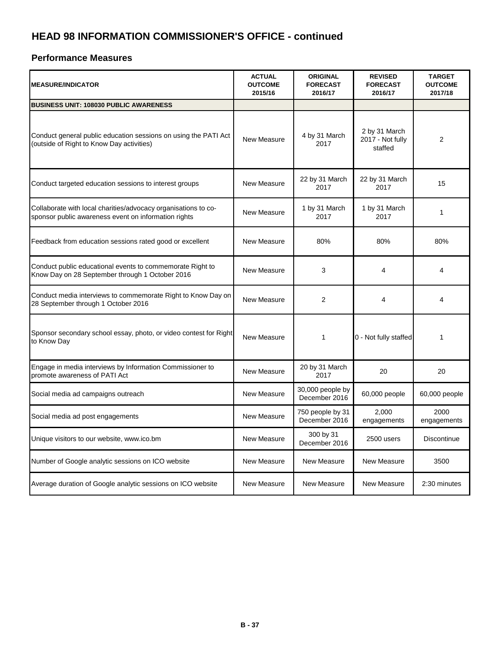| <b>MEASURE/INDICATOR</b>                                                                                               | <b>ACTUAL</b><br><b>OUTCOME</b><br>2015/16 | <b>ORIGINAL</b><br><b>FORECAST</b><br>2016/17 | <b>REVISED</b><br><b>FORECAST</b><br>2016/17 | <b>TARGET</b><br><b>OUTCOME</b><br>2017/18 |
|------------------------------------------------------------------------------------------------------------------------|--------------------------------------------|-----------------------------------------------|----------------------------------------------|--------------------------------------------|
| <b>BUSINESS UNIT: 108030 PUBLIC AWARENESS</b>                                                                          |                                            |                                               |                                              |                                            |
| Conduct general public education sessions on using the PATI Act<br>(outside of Right to Know Day activities)           | New Measure                                | 4 by 31 March<br>2017                         | 2 by 31 March<br>2017 - Not fully<br>staffed | $\overline{2}$                             |
| Conduct targeted education sessions to interest groups                                                                 | New Measure                                | 22 by 31 March<br>2017                        | 22 by 31 March<br>2017                       | 15                                         |
| Collaborate with local charities/advocacy organisations to co-<br>sponsor public awareness event on information rights | New Measure                                | 1 by 31 March<br>2017                         | 1 by 31 March<br>2017                        | 1                                          |
| Feedback from education sessions rated good or excellent                                                               | New Measure                                | 80%                                           | 80%                                          | 80%                                        |
| Conduct public educational events to commemorate Right to<br>Know Day on 28 September through 1 October 2016           | New Measure                                | 3                                             | 4                                            | 4                                          |
| Conduct media interviews to commemorate Right to Know Day on<br>28 September through 1 October 2016                    | New Measure                                | $\overline{2}$                                | 4                                            | 4                                          |
| Sponsor secondary school essay, photo, or video contest for Right<br>to Know Day                                       | New Measure                                | $\mathbf{1}$                                  | 0 - Not fully staffed                        | 1                                          |
| Engage in media interviews by Information Commissioner to<br>promote awareness of PATI Act                             | New Measure                                | 20 by 31 March<br>2017                        | 20                                           | 20                                         |
| Social media ad campaigns outreach                                                                                     | New Measure                                | 30,000 people by<br>December 2016             | 60,000 people                                | 60,000 people                              |
| Social media ad post engagements                                                                                       | New Measure                                | 750 people by 31<br>December 2016             | 2,000<br>engagements                         | 2000<br>engagements                        |
| Unique visitors to our website, www.ico.bm                                                                             | New Measure                                | 300 by 31<br>December 2016                    | 2500 users                                   | Discontinue                                |
| Number of Google analytic sessions on ICO website                                                                      | New Measure                                | New Measure                                   | New Measure                                  | 3500                                       |
| Average duration of Google analytic sessions on ICO website                                                            | New Measure                                | New Measure                                   | New Measure                                  | 2:30 minutes                               |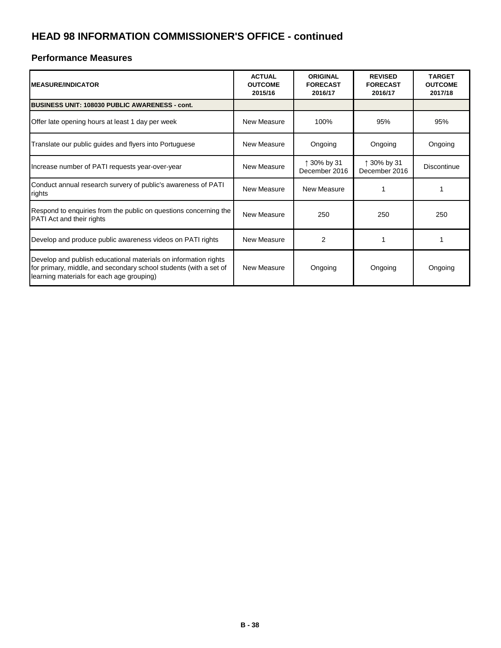| <b>IMEASURE/INDICATOR</b>                                                                                                                                                         | <b>ACTUAL</b><br><b>OUTCOME</b><br>2015/16 | <b>ORIGINAL</b><br><b>FORECAST</b><br>2016/17 | <b>REVISED</b><br><b>FORECAST</b><br>2016/17 | <b>TARGET</b><br><b>OUTCOME</b><br>2017/18 |
|-----------------------------------------------------------------------------------------------------------------------------------------------------------------------------------|--------------------------------------------|-----------------------------------------------|----------------------------------------------|--------------------------------------------|
| <b>BUSINESS UNIT: 108030 PUBLIC AWARENESS - cont.</b>                                                                                                                             |                                            |                                               |                                              |                                            |
| Offer late opening hours at least 1 day per week                                                                                                                                  | New Measure                                | 100%                                          | 95%                                          | 95%                                        |
| Translate our public guides and flyers into Portuguese                                                                                                                            | New Measure                                | Ongoing                                       | Ongoing                                      | Ongoing                                    |
| Increase number of PATI requests year-over-year                                                                                                                                   | New Measure                                | ↑ 30% by 31<br>December 2016                  | ↑ 30% by 31<br>December 2016                 | Discontinue                                |
| Conduct annual research survery of public's awareness of PATI<br>rights                                                                                                           | New Measure                                | New Measure                                   |                                              |                                            |
| Respond to enquiries from the public on questions concerning the<br>PATI Act and their rights                                                                                     | New Measure                                | 250                                           | 250                                          | 250                                        |
| Develop and produce public awareness videos on PATI rights                                                                                                                        | New Measure                                | 2                                             |                                              |                                            |
| Develop and publish educational materials on information rights<br>for primary, middle, and secondary school students (with a set of<br>learning materials for each age grouping) | New Measure                                | Ongoing                                       | Ongoing                                      | Ongoing                                    |